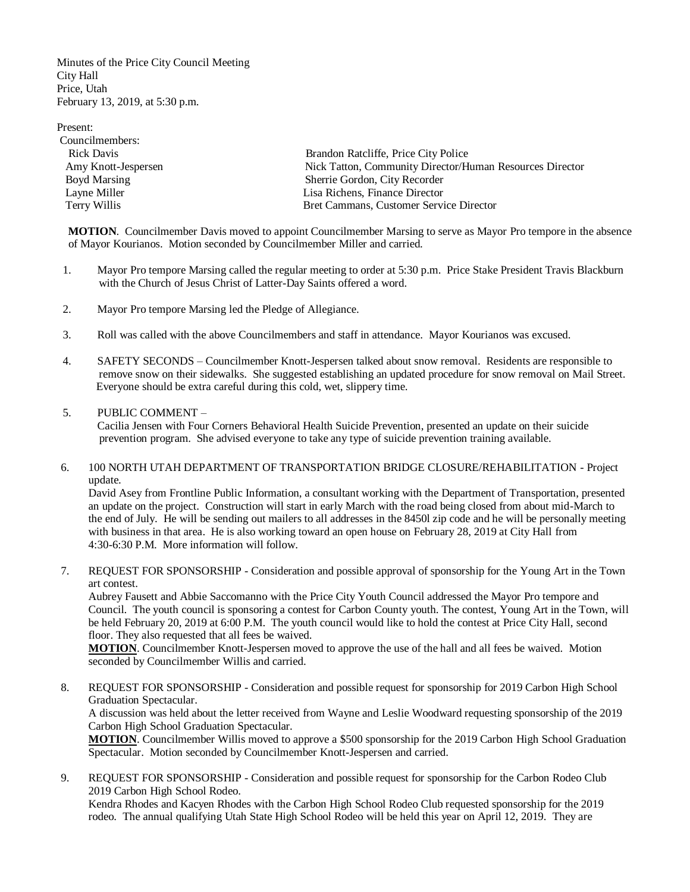Minutes of the Price City Council Meeting City Hall Price, Utah February 13, 2019, at 5:30 p.m.

Present: Councilmembers: Rick Davis Brandon Ratcliffe, Price City Police Amy Knott-Jespersen Nick Tatton, Community Director/Human Resources Director Boyd Marsing Sherrie Gordon, City Recorder Layne Miller **Layne Miller** Lisa Richens, Finance Director Terry Willis Bret Cammans, Customer Service Director

 **MOTION**. Councilmember Davis moved to appoint Councilmember Marsing to serve as Mayor Pro tempore in the absence of Mayor Kourianos. Motion seconded by Councilmember Miller and carried.

- 1. Mayor Pro tempore Marsing called the regular meeting to order at 5:30 p.m. Price Stake President Travis Blackburn with the Church of Jesus Christ of Latter-Day Saints offered a word.
- 2. Mayor Pro tempore Marsing led the Pledge of Allegiance.
- 3. Roll was called with the above Councilmembers and staff in attendance. Mayor Kourianos was excused.
- 4. SAFETY SECONDS Councilmember Knott-Jespersen talked about snow removal. Residents are responsible to remove snow on their sidewalks. She suggested establishing an updated procedure for snow removal on Mail Street. Everyone should be extra careful during this cold, wet, slippery time.

## 5. PUBLIC COMMENT –

Cacilia Jensen with Four Corners Behavioral Health Suicide Prevention, presented an update on their suicide prevention program. She advised everyone to take any type of suicide prevention training available.

## 6. 100 NORTH UTAH DEPARTMENT OF TRANSPORTATION BRIDGE CLOSURE/REHABILITATION - Project update.

David Asey from Frontline Public Information, a consultant working with the Department of Transportation, presented an update on the project. Construction will start in early March with the road being closed from about mid-March to the end of July. He will be sending out mailers to all addresses in the 8450l zip code and he will be personally meeting with business in that area. He is also working toward an open house on February 28, 2019 at City Hall from 4:30-6:30 P.M. More information will follow.

7. REQUEST FOR SPONSORSHIP - Consideration and possible approval of sponsorship for the Young Art in the Town art contest.

Aubrey Fausett and Abbie Saccomanno with the Price City Youth Council addressed the Mayor Pro tempore and Council. The youth council is sponsoring a contest for Carbon County youth. The contest, Young Art in the Town, will be held February 20, 2019 at 6:00 P.M. The youth council would like to hold the contest at Price City Hall, second floor. They also requested that all fees be waived.

**MOTION**. Councilmember Knott-Jespersen moved to approve the use of the hall and all fees be waived. Motion seconded by Councilmember Willis and carried.

8. REQUEST FOR SPONSORSHIP - Consideration and possible request for sponsorship for 2019 Carbon High School Graduation Spectacular.

A discussion was held about the letter received from Wayne and Leslie Woodward requesting sponsorship of the 2019 Carbon High School Graduation Spectacular.

**MOTION**. Councilmember Willis moved to approve a \$500 sponsorship for the 2019 Carbon High School Graduation Spectacular. Motion seconded by Councilmember Knott-Jespersen and carried.

9. REQUEST FOR SPONSORSHIP - Consideration and possible request for sponsorship for the Carbon Rodeo Club 2019 Carbon High School Rodeo.

Kendra Rhodes and Kacyen Rhodes with the Carbon High School Rodeo Club requested sponsorship for the 2019 rodeo. The annual qualifying Utah State High School Rodeo will be held this year on April 12, 2019. They are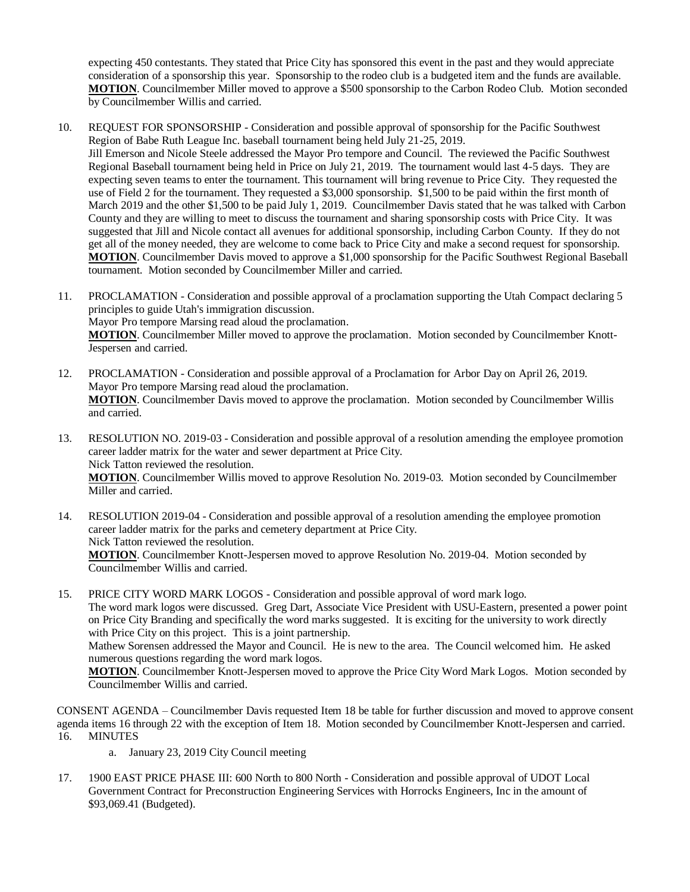expecting 450 contestants. They stated that Price City has sponsored this event in the past and they would appreciate consideration of a sponsorship this year. Sponsorship to the rodeo club is a budgeted item and the funds are available. **MOTION**. Councilmember Miller moved to approve a \$500 sponsorship to the Carbon Rodeo Club. Motion seconded by Councilmember Willis and carried.

- 10. REQUEST FOR SPONSORSHIP Consideration and possible approval of sponsorship for the Pacific Southwest Region of Babe Ruth League Inc. baseball tournament being held July 21-25, 2019. Jill Emerson and Nicole Steele addressed the Mayor Pro tempore and Council. The reviewed the Pacific Southwest Regional Baseball tournament being held in Price on July 21, 2019. The tournament would last 4-5 days. They are expecting seven teams to enter the tournament. This tournament will bring revenue to Price City. They requested the use of Field 2 for the tournament. They requested a \$3,000 sponsorship. \$1,500 to be paid within the first month of March 2019 and the other \$1,500 to be paid July 1, 2019. Councilmember Davis stated that he was talked with Carbon County and they are willing to meet to discuss the tournament and sharing sponsorship costs with Price City. It was suggested that Jill and Nicole contact all avenues for additional sponsorship, including Carbon County. If they do not get all of the money needed, they are welcome to come back to Price City and make a second request for sponsorship. **MOTION**. Councilmember Davis moved to approve a \$1,000 sponsorship for the Pacific Southwest Regional Baseball tournament. Motion seconded by Councilmember Miller and carried.
- 11. PROCLAMATION Consideration and possible approval of a proclamation supporting the Utah Compact declaring 5 principles to guide Utah's immigration discussion.

Mayor Pro tempore Marsing read aloud the proclamation.

**MOTION**. Councilmember Miller moved to approve the proclamation. Motion seconded by Councilmember Knott-Jespersen and carried.

- 12. PROCLAMATION Consideration and possible approval of a Proclamation for Arbor Day on April 26, 2019. Mayor Pro tempore Marsing read aloud the proclamation. **MOTION**. Councilmember Davis moved to approve the proclamation. Motion seconded by Councilmember Willis and carried.
- 13. RESOLUTION NO. 2019-03 Consideration and possible approval of a resolution amending the employee promotion career ladder matrix for the water and sewer department at Price City. Nick Tatton reviewed the resolution. **MOTION**. Councilmember Willis moved to approve Resolution No. 2019-03. Motion seconded by Councilmember Miller and carried.
- 14. RESOLUTION 2019-04 Consideration and possible approval of a resolution amending the employee promotion career ladder matrix for the parks and cemetery department at Price City. Nick Tatton reviewed the resolution. **MOTION**. Councilmember Knott-Jespersen moved to approve Resolution No. 2019-04. Motion seconded by Councilmember Willis and carried.
- 15. PRICE CITY WORD MARK LOGOS Consideration and possible approval of word mark logo. The word mark logos were discussed. Greg Dart, Associate Vice President with USU-Eastern, presented a power point on Price City Branding and specifically the word marks suggested. It is exciting for the university to work directly with Price City on this project. This is a joint partnership. Mathew Sorensen addressed the Mayor and Council. He is new to the area. The Council welcomed him. He asked numerous questions regarding the word mark logos.

**MOTION**. Councilmember Knott-Jespersen moved to approve the Price City Word Mark Logos. Motion seconded by Councilmember Willis and carried.

16. MINUTES CONSENT AGENDA – Councilmember Davis requested Item 18 be table for further discussion and moved to approve consent agenda items 16 through 22 with the exception of Item 18. Motion seconded by Councilmember Knott-Jespersen and carried.

- a. January 23, 2019 City Council meeting
- 17. 1900 EAST PRICE PHASE III: 600 North to 800 North Consideration and possible approval of UDOT Local Government Contract for Preconstruction Engineering Services with Horrocks Engineers, Inc in the amount of \$93,069.41 (Budgeted).